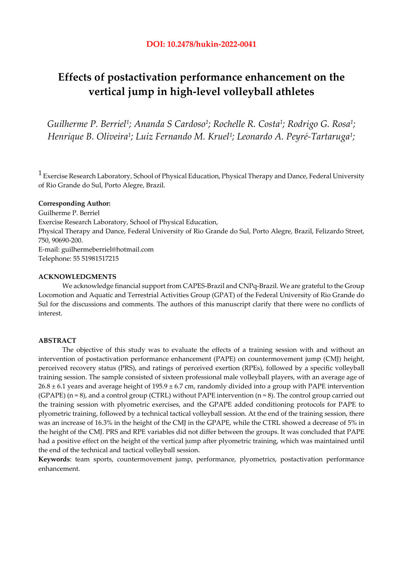# **Effects of postactivation performance enhancement on the vertical jump in high-level volleyball athletes**

*Guilherme P. Berriel1; Ananda S Cardoso1; Rochelle R. Costa1; Rodrigo G. Rosa1; Henrique B. Oliveira1; Luiz Fernando M. Kruel1; Leonardo A. Peyré-Tartaruga1;* 

 $1$  Exercise Research Laboratory, School of Physical Education, Physical Therapy and Dance, Federal University of Rio Grande do Sul, Porto Alegre, Brazil.

# **Corresponding Author:**

Guilherme P. Berriel Exercise Research Laboratory, School of Physical Education, Physical Therapy and Dance, Federal University of Rio Grande do Sul, Porto Alegre, Brazil, Felizardo Street, 750, 90690-200. E-mail: guilhermeberriel@hotmail.com Telephone: 55 51981517215

## **ACKNOWLEDGMENTS**

We acknowledge financial support from CAPES-Brazil and CNPq-Brazil. We are grateful to the Group Locomotion and Aquatic and Terrestrial Activities Group (GPAT) of the Federal University of Rio Grande do Sul for the discussions and comments. The authors of this manuscript clarify that there were no conflicts of interest.

## **ABSTRACT**

The objective of this study was to evaluate the effects of a training session with and without an intervention of postactivation performance enhancement (PAPE) on countermovement jump (CMJ) height, perceived recovery status (PRS), and ratings of perceived exertion (RPEs), followed by a specific volleyball training session. The sample consisted of sixteen professional male volleyball players, with an average age of  $26.8 \pm 6.1$  years and average height of 195.9  $\pm$  6.7 cm, randomly divided into a group with PAPE intervention (GPAPE) ( $n = 8$ ), and a control group (CTRL) without PAPE intervention ( $n = 8$ ). The control group carried out the training session with plyometric exercises, and the GPAPE added conditioning protocols for PAPE to plyometric training, followed by a technical tactical volleyball session. At the end of the training session, there was an increase of 16.3% in the height of the CMJ in the GPAPE, while the CTRL showed a decrease of 5% in the height of the CMJ. PRS and RPE variables did not differ between the groups. It was concluded that PAPE had a positive effect on the height of the vertical jump after plyometric training, which was maintained until the end of the technical and tactical volleyball session.

**Keywords**: team sports, countermovement jump, performance, plyometrics, postactivation performance enhancement.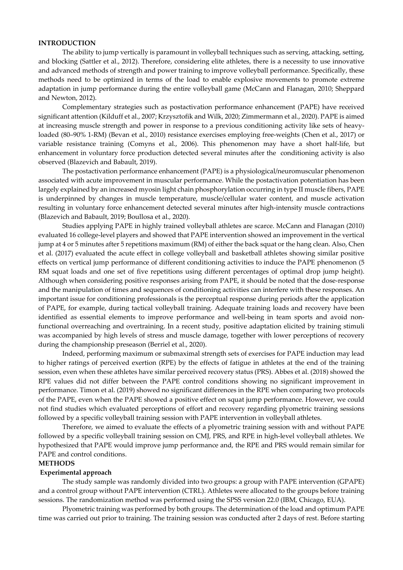#### **INTRODUCTION**

The ability to jump vertically is paramount in volleyball techniques such as serving, attacking, setting, and blocking (Sattler et al., 2012). Therefore, considering elite athletes, there is a necessity to use innovative and advanced methods of strength and power training to improve volleyball performance. Specifically, these methods need to be optimized in terms of the load to enable explosive movements to promote extreme adaptation in jump performance during the entire volleyball game (McCann and Flanagan, 2010; Sheppard and Newton, 2012).

Complementary strategies such as postactivation performance enhancement (PAPE) have received significant attention (Kilduff et al., 2007; Krzysztofik and Wilk, 2020; Zimmermann et al., 2020). PAPE is aimed at increasing muscle strength and power in response to a previous conditioning activity like sets of heavyloaded (80–90% 1-RM) (Bevan et al., 2010) resistance exercises employing free-weights (Chen et al., 2017) or variable resistance training (Comyns et al., 2006). This phenomenon may have a short half-life, but enhancement in voluntary force production detected several minutes after the conditioning activity is also observed (Blazevich and Babault, 2019).

The postactivation performance enhancement (PAPE) is a physiological/neuromuscular phenomenon associated with acute improvement in muscular performance. While the postactivation potentiation has been largely explained by an increased myosin light chain phosphorylation occurring in type II muscle fibers, PAPE is underpinned by changes in muscle temperature, muscle/cellular water content, and muscle activation resulting in voluntary force enhancement detected several minutes after high-intensity muscle contractions (Blazevich and Babault, 2019; Boullosa et al., 2020).

Studies applying PAPE in highly trained volleyball athletes are scarce. McCann and Flanagan (2010) evaluated 16 college-level players and showed that PAPE intervention showed an improvement in the vertical jump at 4 or 5 minutes after 5 repetitions maximum (RM) of either the back squat or the hang clean. Also, Chen et al. (2017) evaluated the acute effect in college volleyball and basketball athletes showing similar positive effects on vertical jump performance of different conditioning activities to induce the PAPE phenomenon (5 RM squat loads and one set of five repetitions using different percentages of optimal drop jump height). Although when considering positive responses arising from PAPE, it should be noted that the dose-response and the manipulation of times and sequences of conditioning activities can interfere with these responses. An important issue for conditioning professionals is the perceptual response during periods after the application of PAPE, for example, during tactical volleyball training. Adequate training loads and recovery have been identified as essential elements to improve performance and well-being in team sports and avoid nonfunctional overreaching and overtraining. In a recent study, positive adaptation elicited by training stimuli was accompanied by high levels of stress and muscle damage, together with lower perceptions of recovery during the championship preseason (Berriel et al., 2020).

Indeed, performing maximum or submaximal strength sets of exercises for PAPE induction may lead to higher ratings of perceived exertion (RPE) by the effects of fatigue in athletes at the end of the training session, even when these athletes have similar perceived recovery status (PRS). Abbes et al. (2018) showed the RPE values did not differ between the PAPE control conditions showing no significant improvement in performance. Timon et al. (2019) showed no significant differences in the RPE when comparing two protocols of the PAPE, even when the PAPE showed a positive effect on squat jump performance. However, we could not find studies which evaluated perceptions of effort and recovery regarding plyometric training sessions followed by a specific volleyball training session with PAPE intervention in volleyball athletes.

Therefore, we aimed to evaluate the effects of a plyometric training session with and without PAPE followed by a specific volleyball training session on CMJ, PRS, and RPE in high-level volleyball athletes. We hypothesized that PAPE would improve jump performance and, the RPE and PRS would remain similar for PAPE and control conditions.

# **METHODS**

## **Experimental approach**

 The study sample was randomly divided into two groups: a group with PAPE intervention (GPAPE) and a control group without PAPE intervention (CTRL). Athletes were allocated to the groups before training sessions. The randomization method was performed using the SPSS version 22.0 (IBM, Chicago, EUA).

Plyometric training was performed by both groups. The determination of the load and optimum PAPE time was carried out prior to training. The training session was conducted after 2 days of rest. Before starting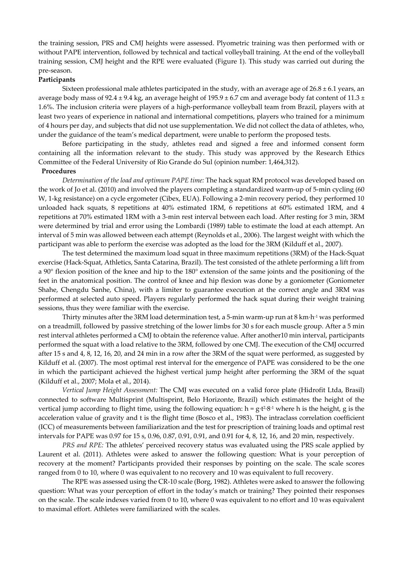the training session, PRS and CMJ heights were assessed. Plyometric training was then performed with or without PAPE intervention, followed by technical and tactical volleyball training. At the end of the volleyball training session, CMJ height and the RPE were evaluated (Figure 1). This study was carried out during the pre-season.

## **Participants**

Sixteen professional male athletes participated in the study, with an average age of  $26.8 \pm 6.1$  years, an average body mass of 92.4  $\pm$  9.4 kg, an average height of 195.9  $\pm$  6.7 cm and average body fat content of 11.3  $\pm$ 1.6%. The inclusion criteria were players of a high-performance volleyball team from Brazil, players with at least two years of experience in national and international competitions, players who trained for a minimum of 4 hours per day, and subjects that did not use supplementation. We did not collect the data of athletes, who, under the guidance of the team's medical department, were unable to perform the proposed tests.

 Before participating in the study, athletes read and signed a free and informed consent form containing all the information relevant to the study. This study was approved by the Research Ethics Committee of the Federal University of Rio Grande do Sul (opinion number: 1,464,312).

#### **Procedures**

*Determination of the load and optimum PAPE time:* The hack squat RM protocol was developed based on the work of Jo et al. (2010) and involved the players completing a standardized warm-up of 5-min cycling (60 W, 1-kg resistance) on a cycle ergometer (Cibex, EUA). Following a 2-min recovery period, they performed 10 unloaded hack squats, 8 repetitions at 40% estimated 1RM, 6 repetitions at 60% estimated 1RM, and 4 repetitions at 70% estimated 1RM with a 3-min rest interval between each load. After resting for 3 min, 3RM were determined by trial and error using the Lombardi (1989) table to estimate the load at each attempt. An interval of 5 min was allowed between each attempt (Reynolds et al., 2006). The largest weight with which the participant was able to perform the exercise was adopted as the load for the 3RM (Kilduff et al., 2007).

The test determined the maximum load squat in three maximum repetitions (3RM) of the Hack-Squat exercise (Hack-Squat, Athletics, Santa Catarina, Brazil). The test consisted of the athlete performing a lift from a 90° flexion position of the knee and hip to the 180° extension of the same joints and the positioning of the feet in the anatomical position. The control of knee and hip flexion was done by a goniometer (Goniometer Shahe, Chengdu Sanhe, China), with a limiter to guarantee execution at the correct angle and 3RM was performed at selected auto speed. Players regularly performed the hack squat during their weight training sessions, thus they were familiar with the exercise.

Thirty minutes after the 3RM load determination test, a 5-min warm-up run at 8 km⋅h<sup>-1</sup> was performed on a treadmill, followed by passive stretching of the lower limbs for 30 s for each muscle group. After a 5 min rest interval athletes performed a CMJ to obtain the reference value. After another10 min interval, participants performed the squat with a load relative to the 3RM, followed by one CMJ. The execution of the CMJ occurred after 15 s and 4, 8, 12, 16, 20, and 24 min in a row after the 3RM of the squat were performed, as suggested by Kilduff et al. (2007). The most optimal rest interval for the emergence of PAPE was considered to be the one in which the participant achieved the highest vertical jump height after performing the 3RM of the squat (Kilduff et al., 2007; Mola et al., 2014).

*Vertical Jump Height Assessment:* The CMJ was executed on a valid force plate (Hidrofit Ltda, Brasil) connected to software Multisprint (Multisprint, Belo Horizonte, Brazil) which estimates the height of the vertical jump according to flight time, using the following equation: h =  $g·t<sup>2</sup>·8<sup>-1</sup>$  where h is the height, g is the acceleration value of gravity and t is the flight time (Bosco et al., 1983). The intraclass correlation coefficient (ICC) of measurements between familiarization and the test for prescription of training loads and optimal rest intervals for PAPE was 0.97 for 15 s, 0.96, 0.87, 0.91, 0.91, and 0.91 for 4, 8, 12, 16, and 20 min, respectively.

*PRS and RPE:* The athletes' perceived recovery status was evaluated using the PRS scale applied by Laurent et al. (2011). Athletes were asked to answer the following question: What is your perception of recovery at the moment? Participants provided their responses by pointing on the scale. The scale scores ranged from 0 to 10, where 0 was equivalent to no recovery and 10 was equivalent to full recovery.

The RPE was assessed using the CR-10 scale (Borg, 1982). Athletes were asked to answer the following question: What was your perception of effort in the today's match or training? They pointed their responses on the scale. The scale indexes varied from 0 to 10, where 0 was equivalent to no effort and 10 was equivalent to maximal effort. Athletes were familiarized with the scales.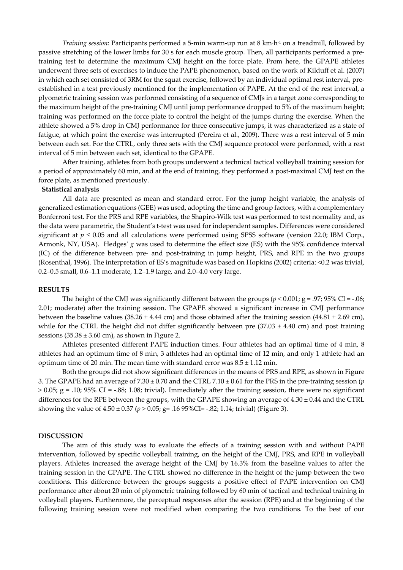*Training session*: Participants performed a 5-min warm-up run at 8 km∙h-1 on a treadmill, followed by passive stretching of the lower limbs for 30 s for each muscle group. Then, all participants performed a pretraining test to determine the maximum CMJ height on the force plate. From here, the GPAPE athletes underwent three sets of exercises to induce the PAPE phenomenon, based on the work of Kilduff et al. (2007) in which each set consisted of 3RM for the squat exercise, followed by an individual optimal rest interval, preestablished in a test previously mentioned for the implementation of PAPE. At the end of the rest interval, a plyometric training session was performed consisting of a sequence of CMJs in a target zone corresponding to the maximum height of the pre-training CMJ until jump performance dropped to 5% of the maximum height; training was performed on the force plate to control the height of the jumps during the exercise. When the athlete showed a 5% drop in CMJ performance for three consecutive jumps, it was characterized as a state of fatigue, at which point the exercise was interrupted (Pereira et al., 2009). There was a rest interval of 5 min between each set. For the CTRL, only three sets with the CMJ sequence protocol were performed, with a rest interval of 5 min between each set, identical to the GPAPE.

After training, athletes from both groups underwent a technical tactical volleyball training session for a period of approximately 60 min, and at the end of training, they performed a post-maximal CMJ test on the force plate, as mentioned previously.

## **Statistical analysis**

All data are presented as mean and standard error. For the jump height variable, the analysis of generalized estimation equations (GEE) was used, adopting the time and group factors, with a complementary Bonferroni test. For the PRS and RPE variables, the Shapiro-Wilk test was performed to test normality and, as the data were parametric, the Student's t-test was used for independent samples. Differences were considered significant at  $p \le 0.05$  and all calculations were performed using SPSS software (version 22.0; IBM Corp., Armonk, NY, USA). Hedges' *g* was used to determine the effect size (ES) with the 95% confidence interval (IC) of the difference between pre- and post-training in jump height, PRS, and RPE in the two groups (Rosenthal, 1996). The interpretation of ES's magnitude was based on Hopkins (2002) criteria: <0.2 was trivial, 0.2–0.5 small, 0.6–1.1 moderate, 1.2–1.9 large, and 2.0–4.0 very large.

#### **RESULTS**

The height of the CMJ was significantly different between the groups ( $p < 0.001$ ; g = .97; 95% CI = -.06; 2.01; moderate) after the training session. The GPAPE showed a significant increase in CMJ performance between the baseline values (38.26  $\pm$  4.44 cm) and those obtained after the training session (44.81  $\pm$  2.69 cm), while for the CTRL the height did not differ significantly between pre  $(37.03 \pm 4.40 \text{ cm})$  and post training sessions  $(35.38 \pm 3.60 \text{ cm})$ , as shown in Figure 2.

Athletes presented different PAPE induction times. Four athletes had an optimal time of 4 min, 8 athletes had an optimum time of 8 min, 3 athletes had an optimal time of 12 min, and only 1 athlete had an optimum time of 20 min. The mean time with standard error was  $8.5 \pm 1.12$  min.

Both the groups did not show significant differences in the means of PRS and RPE, as shown in Figure 3. The GPAPE had an average of 7.30 ± 0.70 and the CTRL 7.10 ± 0.61 for the PRS in the pre-training session (*p*   $> 0.05$ ; g = .10; 95% CI = -.88; 1.08; trivial). Immediately after the training session, there were no significant differences for the RPE between the groups, with the GPAPE showing an average of  $4.30 \pm 0.44$  and the CTRL showing the value of 4.50 ± 0.37 (*p >* 0.05; g= .16 95%CI= -.82; 1.14; trivial) (Figure 3).

## **DISCUSSION**

The aim of this study was to evaluate the effects of a training session with and without PAPE intervention, followed by specific volleyball training, on the height of the CMJ, PRS, and RPE in volleyball players. Athletes increased the average height of the CMJ by 16.3% from the baseline values to after the training session in the GPAPE. The CTRL showed no difference in the height of the jump between the two conditions. This difference between the groups suggests a positive effect of PAPE intervention on CMJ performance after about 20 min of plyometric training followed by 60 min of tactical and technical training in volleyball players. Furthermore, the perceptual responses after the session (RPE) and at the beginning of the following training session were not modified when comparing the two conditions. To the best of our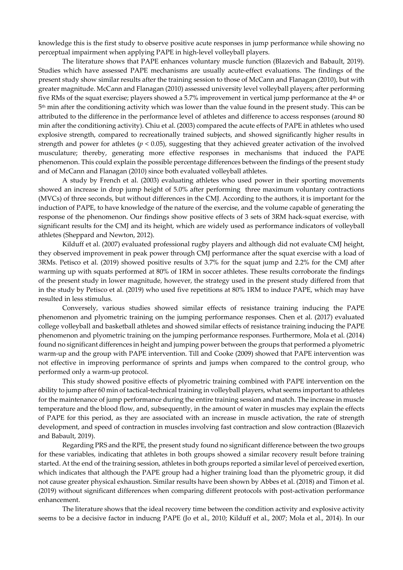knowledge this is the first study to observe positive acute responses in jump performance while showing no perceptual impairment when applying PAPE in high-level volleyball players.

The literature shows that PAPE enhances voluntary muscle function (Blazevich and Babault, 2019). Studies which have assessed PAPE mechanisms are usually acute-effect evaluations. The findings of the present study show similar results after the training session to those of McCann and Flanagan (2010), but with greater magnitude. McCann and Flanagan (2010) assessed university level volleyball players; after performing five RMs of the squat exercise; players showed a 5.7% improvement in vertical jump performance at the 4th or 5th min after the conditioning activity which was lower than the value found in the present study. This can be attributed to the difference in the performance level of athletes and difference to access responses (around 80 min after the conditioning activity). Chiu et al. (2003) compared the acute effects of PAPE in athletes who used explosive strength, compared to recreationally trained subjects, and showed significantly higher results in strength and power for athletes (*p* < 0.05), suggesting that they achieved greater activation of the involved musculature; thereby, generating more effective responses in mechanisms that induced the PAPE phenomenon. This could explain the possible percentage differences between the findings of the present study and of McCann and Flanagan (2010) since both evaluated volleyball athletes.

A study by French et al. (2003) evaluating athletes who used power in their sporting movements showed an increase in drop jump height of 5.0% after performing three maximum voluntary contractions (MVCs) of three seconds, but without differences in the CMJ. According to the authors, it is important for the induction of PAPE, to have knowledge of the nature of the exercise, and the volume capable of generating the response of the phenomenon. Our findings show positive effects of 3 sets of 3RM hack-squat exercise, with significant results for the CMJ and its height, which are widely used as performance indicators of volleyball athletes (Sheppard and Newton, 2012).

Kilduff et al. (2007) evaluated professional rugby players and although did not evaluate CMJ height, they observed improvement in peak power through CMJ performance after the squat exercise with a load of 3RMs. Petisco et al. (2019) showed positive results of 3.7% for the squat jump and 2.2% for the CMJ after warming up with squats performed at 80% of 1RM in soccer athletes. These results corroborate the findings of the present study in lower magnitude, however, the strategy used in the present study differed from that in the study by Petisco et al. (2019) who used five repetitions at 80% 1RM to induce PAPE, which may have resulted in less stimulus.

Conversely, various studies showed similar effects of resistance training inducing the PAPE phenomenon and plyometric training on the jumping performance responses. Chen et al. (2017) evaluated college volleyball and basketball athletes and showed similar effects of resistance training inducing the PAPE phenomenon and plyometric training on the jumping performance responses. Furthermore, Mola et al. (2014) found no significant differences in height and jumping power between the groups that performed a plyometric warm-up and the group with PAPE intervention. Till and Cooke (2009) showed that PAPE intervention was not effective in improving performance of sprints and jumps when compared to the control group, who performed only a warm-up protocol.

This study showed positive effects of plyometric training combined with PAPE intervention on the ability to jump after 60 min of tactical-technical training in volleyball players, what seems important to athletes for the maintenance of jump performance during the entire training session and match. The increase in muscle temperature and the blood flow, and, subsequently, in the amount of water in muscles may explain the effects of PAPE for this period, as they are associated with an increase in muscle activation, the rate of strength development, and speed of contraction in muscles involving fast contraction and slow contraction (Blazevich and Babault, 2019).

Regarding PRS and the RPE, the present study found no significant difference between the two groups for these variables, indicating that athletes in both groups showed a similar recovery result before training started. At the end of the training session, athletes in both groups reported a similar level of perceived exertion, which indicates that although the PAPE group had a higher training load than the plyometric group, it did not cause greater physical exhaustion. Similar results have been shown by Abbes et al. (2018) and Timon et al. (2019) without significant differences when comparing different protocols with post-activation performance enhancement.

The literature shows that the ideal recovery time between the condition activity and explosive activity seems to be a decisive factor in inducng PAPE (Jo et al., 2010; Kilduff et al., 2007; Mola et al., 2014). In our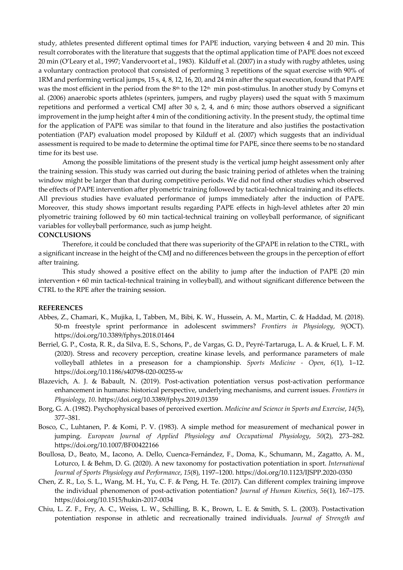study, athletes presented different optimal times for PAPE induction, varying between 4 and 20 min. This result corroborates with the literature that suggests that the optimal application time of PAPE does not exceed 20 min (O'Leary et al., 1997; Vandervoort et al., 1983). Kilduff et al. (2007) in a study with rugby athletes, using a voluntary contraction protocol that consisted of performing 3 repetitions of the squat exercise with 90% of 1RM and performing vertical jumps, 15 s, 4, 8, 12, 16, 20, and 24 min after the squat execution, found that PAPE was the most efficient in the period from the 8<sup>th</sup> to the 12<sup>th</sup> min post-stimulus. In another study by Comyns et al. (2006) anaerobic sports athletes (sprinters, jumpers, and rugby players) used the squat with 5 maximum repetitions and performed a vertical CMJ after 30 s, 2, 4, and 6 min; those authors observed a significant improvement in the jump height after 4 min of the conditioning activity. In the present study, the optimal time for the application of PAPE was similar to that found in the literature and also justifies the postactivation potentiation (PAP) evaluation model proposed by Kilduff et al. (2007) which suggests that an individual assessment is required to be made to determine the optimal time for PAPE, since there seems to be no standard time for its best use.

Among the possible limitations of the present study is the vertical jump height assessment only after the training session. This study was carried out during the basic training period of athletes when the training window might be larger than that during competitive periods. We did not find other studies which observed the effects of PAPE intervention after plyometric training followed by tactical-technical training and its effects. All previous studies have evaluated performance of jumps immediately after the induction of PAPE. Moreover, this study shows important results regarding PAPE effects in high-level athletes after 20 min plyometric training followed by 60 min tactical-technical training on volleyball performance, of significant variables for volleyball performance, such as jump height.

## **CONCLUSIONS**

Therefore, it could be concluded that there was superiority of the GPAPE in relation to the CTRL, with a significant increase in the height of the CMJ and no differences between the groups in the perception of effort after training.

This study showed a positive effect on the ability to jump after the induction of PAPE (20 min intervention + 60 min tactical-technical training in volleyball), and without significant difference between the CTRL to the RPE after the training session.

## **REFERENCES**

- Abbes, Z., Chamari, K., Mujika, I., Tabben, M., Bibi, K. W., Hussein, A. M., Martin, C. & Haddad, M. (2018). 50-m freestyle sprint performance in adolescent swimmers? *Frontiers in Physiology*, *9*(OCT). https://doi.org/10.3389/fphys.2018.01464
- Berriel, G. P., Costa, R. R., da Silva, E. S., Schons, P., de Vargas, G. D., Peyré-Tartaruga, L. A. & Kruel, L. F. M. (2020). Stress and recovery perception, creatine kinase levels, and performance parameters of male volleyball athletes in a preseason for a championship. *Sports Medicine - Open*, *6*(1), 1–12. https://doi.org/10.1186/s40798-020-00255-w
- Blazevich, A. J. & Babault, N. (2019). Post-activation potentiation versus post-activation performance enhancement in humans: historical perspective, underlying mechanisms, and current issues. *Frontiers in Physiology*, *10*. https://doi.org/10.3389/fphys.2019.01359
- Borg, G. A. (1982). Psychophysical bases of perceived exertion. *Medicine and Science in Sports and Exercise*, *14*(5), 377–381.
- Bosco, C., Luhtanen, P. & Komi, P. V. (1983). A simple method for measurement of mechanical power in jumping. *European Journal of Applied Physiology and Occupational Physiology*, *50*(2), 273–282. https://doi.org/10.1007/BF00422166
- Boullosa, D., Beato, M., Iacono, A. Dello, Cuenca-Fernández, F., Doma, K., Schumann, M., Zagatto, A. M., Loturco, I. & Behm, D. G. (2020). A new taxonomy for postactivation potentiation in sport. *International Journal of Sports Physiology and Performance*, *15*(8), 1197–1200. https://doi.org/10.1123/IJSPP.2020-0350
- Chen, Z. R., Lo, S. L., Wang, M. H., Yu, C. F. & Peng, H. Te. (2017). Can different complex training improve the individual phenomenon of post-activation potentiation? *Journal of Human Kinetics*, *56*(1), 167–175. https://doi.org/10.1515/hukin-2017-0034
- Chiu, L. Z. F., Fry, A. C., Weiss, L. W., Schilling, B. K., Brown, L. E. & Smith, S. L. (2003). Postactivation potentiation response in athletic and recreationally trained individuals. *Journal of Strength and*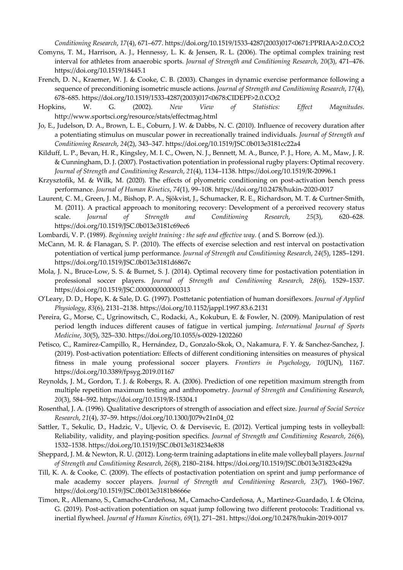*Conditioning Research*, *17*(4), 671–677. https://doi.org/10.1519/1533-4287(2003)017<0671:PPRIAA>2.0.CO;2

- Comyns, T. M., Harrison, A. J., Hennessy, L. K. & Jensen, R. L. (2006). The optimal complex training rest interval for athletes from anaerobic sports. *Journal of Strength and Conditioning Research*, *20*(3), 471–476. https://doi.org/10.1519/18445.1
- French, D. N., Kraemer, W. J. & Cooke, C. B. (2003). Changes in dynamic exercise performance following a sequence of preconditioning isometric muscle actions. *Journal of Strength and Conditioning Research*, *17*(4), 678–685. https://doi.org/10.1519/1533-4287(2003)017<0678:CIDEPF>2.0.CO;2
- Hopkins, W. G. (2002). *New View of Statistics: Effect Magnitudes*. http://www.sportsci.org/resource/stats/effectmag.html
- Jo, E., Judelson, D. A., Brown, L. E., Coburn, J. W. & Dabbs, N. C. (2010). Influence of recovery duration after a potentiating stimulus on muscular power in recreationally trained individuals. *Journal of Strength and Conditioning Research*, *24*(2), 343–347. https://doi.org/10.1519/JSC.0b013e3181cc22a4
- Kilduff, L. P., Bevan, H. R., Kingsley, M. I. C., Owen, N. J., Bennett, M. A., Bunce, P. J., Hore, A. M., Maw, J. R. & Cunningham, D. J. (2007). Postactivation potentiation in professional rugby players: Optimal recovery. *Journal of Strength and Conditioning Research*, *21*(4), 1134–1138. https://doi.org/10.1519/R-20996.1
- Krzysztofik, M. & Wilk, M. (2020). The effects of plyometric conditioning on post-activation bench press performance. *Journal of Human Kinetics*, *74*(1), 99–108. https://doi.org/10.2478/hukin-2020-0017
- Laurent, C. M., Green, J. M., Bishop, P. A., Sjökvist, J., Schumacker, R. E., Richardson, M. T. & Curtner-Smith, M. (2011). A practical approach to monitoring recovery: Development of a perceived recovery status scale. *Journal of Strength and Conditioning Research*, *25*(3), 620–628. https://doi.org/10.1519/JSC.0b013e3181c69ec6
- Lombardi, V. P. (1989). *Beginning weight training : the safe and effective way.* ( and S. Borrow (ed.)).
- McCann, M. R. & Flanagan, S. P. (2010). The effects of exercise selection and rest interval on postactivation potentiation of vertical jump performance. *Journal of Strength and Conditioning Research*, *24*(5), 1285–1291. https://doi.org/10.1519/JSC.0b013e3181d6867c
- Mola, J. N., Bruce-Low, S. S. & Burnet, S. J. (2014). Optimal recovery time for postactivation potentiation in professional soccer players. *Journal of Strength and Conditioning Research*, *28*(6), 1529–1537. https://doi.org/10.1519/JSC.0000000000000313
- O'Leary, D. D., Hope, K. & Sale, D. G. (1997). Posttetanic potentiation of human dorsiflexors. *Journal of Applied Physiology*, *83*(6), 2131–2138. https://doi.org/10.1152/jappl.1997.83.6.2131
- Pereira, G., Morse, C., Ugrinowitsch, C., Rodacki, A., Kokubun, E. & Fowler, N. (2009). Manipulation of rest period length induces different causes of fatigue in vertical jumping. *International Journal of Sports Medicine*, *30*(5), 325–330. https://doi.org/10.1055/s-0029-1202260
- Petisco, C., Ramirez-Campillo, R., Hernández, D., Gonzalo-Skok, O., Nakamura, F. Y. & Sanchez-Sanchez, J. (2019). Post-activation potentiation: Effects of different conditioning intensities on measures of physical fitness in male young professional soccer players. *Frontiers in Psychology*, *10*(JUN), 1167. https://doi.org/10.3389/fpsyg.2019.01167
- Reynolds, J. M., Gordon, T. J. & Robergs, R. A. (2006). Prediction of one repetition maximum strength from multiple repetition maximum testing and anthropometry. *Journal of Strength and Conditioning Research*, *20*(3), 584–592. https://doi.org/10.1519/R-15304.1
- Rosenthal, J. A. (1996). Qualitative descriptors of strength of association and effect size. *Journal of Social Service Research*, *21*(4), 37–59. https://doi.org/10.1300/J079v21n04\_02
- Sattler, T., Sekulic, D., Hadzic, V., Uljevic, O. & Dervisevic, E. (2012). Vertical jumping tests in volleyball: Reliability, validity, and playing-position specifics. *Journal of Strength and Conditioning Research*, *26*(6), 1532–1538. https://doi.org/10.1519/JSC.0b013e318234e838
- Sheppard, J. M. & Newton, R. U. (2012). Long-term training adaptations in elite male volleyball players. *Journal of Strength and Conditioning Research*, *26*(8), 2180–2184. https://doi.org/10.1519/JSC.0b013e31823c429a
- Till, K. A. & Cooke, C. (2009). The effects of postactivation potentiation on sprint and jump performance of male academy soccer players. *Journal of Strength and Conditioning Research*, *23*(7), 1960–1967. https://doi.org/10.1519/JSC.0b013e3181b8666e
- Timon, R., Allemano, S., Camacho-Cardeñosa, M., Camacho-Cardeñosa, A., Martinez-Guardado, I. & Olcina, G. (2019). Post-activation potentiation on squat jump following two different protocols: Traditional vs. inertial flywheel. *Journal of Human Kinetics*, *69*(1), 271–281. https://doi.org/10.2478/hukin-2019-0017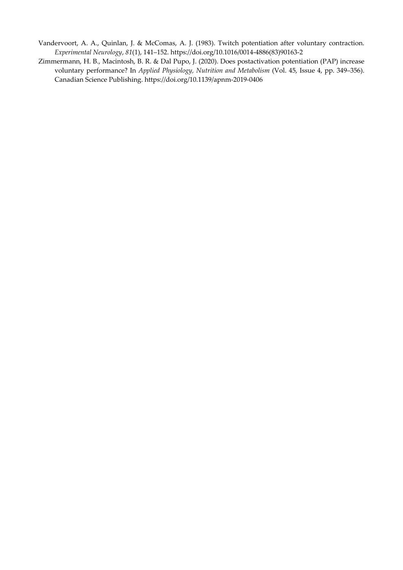- Vandervoort, A. A., Quinlan, J. & McComas, A. J. (1983). Twitch potentiation after voluntary contraction. *Experimental Neurology*, *81*(1), 141–152. https://doi.org/10.1016/0014-4886(83)90163-2
- Zimmermann, H. B., Macintosh, B. R. & Dal Pupo, J. (2020). Does postactivation potentiation (PAP) increase voluntary performance? In *Applied Physiology, Nutrition and Metabolism* (Vol. 45, Issue 4, pp. 349–356). Canadian Science Publishing. https://doi.org/10.1139/apnm-2019-0406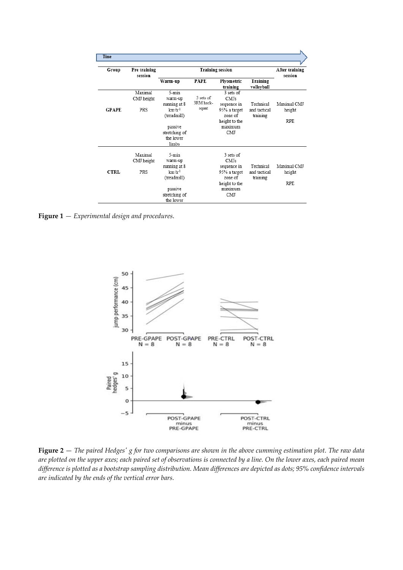| Time         |                              |                                                             |                                 |                                                                    |                                       |                           |
|--------------|------------------------------|-------------------------------------------------------------|---------------------------------|--------------------------------------------------------------------|---------------------------------------|---------------------------|
| Group        | Pre training<br>session      | <b>Training session</b>                                     |                                 |                                                                    |                                       | After training<br>session |
|              |                              | Warm-up                                                     | <b>PAPE</b>                     | Plyometric<br>training                                             | Training<br>volleyball                |                           |
| <b>GPAPE</b> | Maximal<br>CMJ height<br>PRS | 5-min<br>warm-up<br>running at 8<br>$km·h-1$<br>(treadmill) | 3 sets of<br>3RM hack-<br>squat | 3 sets of<br><b>CMIs</b><br>sequence in<br>95% a target<br>zone of | Technical<br>and tactical<br>training | Maximal CMI<br>height     |
|              |                              | passive<br>stretching of<br>the lower<br>limbs              |                                 | height to the<br>maximum<br><b>CMI</b>                             |                                       | <b>RPE</b>                |
|              | Maximal<br>CMJ height        | $5 - min$<br>warm-up                                        |                                 | 3 sets of<br><b>CMIs</b>                                           | Technical                             | Maximal CMJ               |
| <b>CTRL</b>  | PRS                          | running at 8<br>$km·h-1$<br>(treadmill)<br>passive          |                                 | sequence in<br>95% a target<br>zone of<br>height to the<br>maximum | and tactical<br>training              | height<br>RPF.            |
|              |                              | stretching of<br>the lower                                  |                                 | <b>CMI</b>                                                         |                                       |                           |

**Figure 1** *— Experimental design and procedures*.



**Figure 2** — *The paired Hedges' g for two comparisons are shown in the above cumming estimation plot. The raw data are plotted on the upper axes; each paired set of observations is connected by a line. On the lower axes, each paired mean difference is plotted as a bootstrap sampling distribution. Mean differences are depicted as dots; 95% confidence intervals are indicated by the ends of the vertical error bars.*